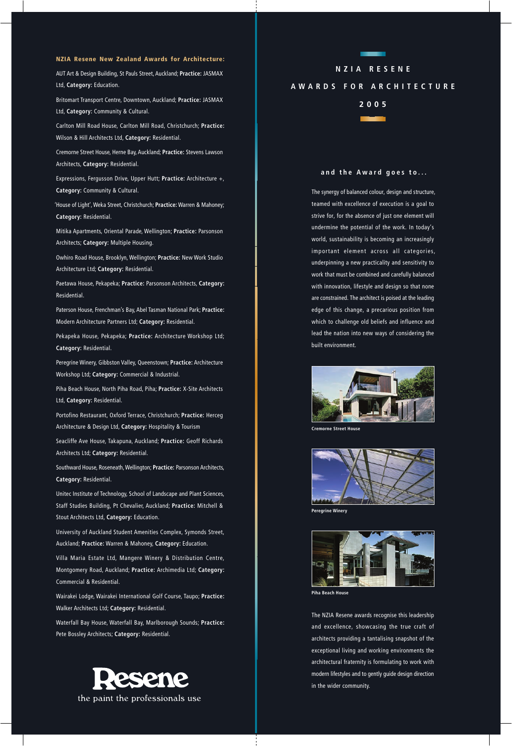## **NZIA Resene New Zealand Awards for Architecture:**

AUT Art & Design Building, St Pauls Street, Auckland; **Practice:** JASMAX Ltd, **Category:** Education.

Britomart Transport Centre, Downtown, Auckland; **Practice:** JASMAX Ltd, **Category:** Community & Cultural.

Carlton Mill Road House, Carlton Mill Road, Christchurch; **Practice:** Wilson & Hill Architects Ltd, **Category:** Residential.

Cremorne Street House, Herne Bay, Auckland; **Practice:** Stevens Lawson Architects, **Category:** Residential.

Expressions, Fergusson Drive, Upper Hutt; **Practice:** Architecture +, **Category:** Community & Cultural.

'House of Light', Weka Street, Christchurch; **Practice:** Warren & Mahoney; **Category:** Residential.

Mitika Apartments, Oriental Parade, Wellington; **Practice:** Parsonson Architects; **Category:** Multiple Housing.

Owhiro Road House, Brooklyn, Wellington; **Practice:** New Work Studio Architecture Ltd; **Category:** Residential.

Paetawa House, Pekapeka; **Practice:** Parsonson Architects, **Category:** Residential.

Paterson House, Frenchman's Bay, Abel Tasman National Park; **Practice:** Modern Architecture Partners Ltd; **Category:** Residential.

Pekapeka House, Pekapeka; **Practice:** Architecture Workshop Ltd; **Category:** Residential.

Peregrine Winery, Gibbston Valley, Queenstown; **Practice:** Architecture Workshop Ltd; **Category:** Commercial & Industrial.

Piha Beach House, North Piha Road, Piha; **Practice:** X-Site Architects Ltd, **Category:** Residential.

Portofino Restaurant, Oxford Terrace, Christchurch; **Practice:** Herceg Architecture & Design Ltd, **Category:** Hospitality & Tourism

Seacliffe Ave House, Takapuna, Auckland; **Practice:** Geoff Richards Architects Ltd; **Category:** Residential.

Southward House, Roseneath, Wellington; **Practice:** Parsonson Architects, **Category:** Residential.

Unitec Institute of Technology, School of Landscape and Plant Sciences, Staff Studies Building, Pt Chevalier, Auckland; **Practice:** Mitchell & Stout Architects Ltd, **Category:** Education.

University of Auckland Student Amenities Complex, Symonds Street, Auckland; **Practice:** Warren & Mahoney, **Category:** Education.

Villa Maria Estate Ltd, Mangere Winery & Distribution Centre, Montgomery Road, Auckland; **Practice:** Archimedia Ltd; **Category:** Commercial & Residential.

Wairakei Lodge, Wairakei International Golf Course, Taupo; **Practice:** Walker Architects Ltd; **Category:** Residential.

Waterfall Bay House, Waterfall Bay, Marlborough Sounds; **Practice:** Pete Bossley Architects; **Category:** Residential.



## **NZIA RESENE**

## **AWARDS FOR ARCHITECTURE**

**2005**



## **and the Award goes to...**

The synergy of balanced colour, design and structure, teamed with excellence of execution is a goal to strive for, for the absence of just one element will undermine the potential of the work. In today's world, sustainability is becoming an increasingly important element across all categories, underpinning a new practicality and sensitivity to work that must be combined and carefully balanced with innovation, lifestyle and design so that none are constrained. The architect is poised at the leading edge of this change, a precarious position from which to challenge old beliefs and influence and lead the nation into new ways of considering the built environment.



**Cremorne Street House**



**Peregrine Winery**



**Piha Beach House**

The NZIA Resene awards recognise this leadership and excellence, showcasing the true craft of architects providing a tantalising snapshot of the exceptional living and working environments the architectural fraternity is formulating to work with modern lifestyles and to gently guide design direction in the wider community.